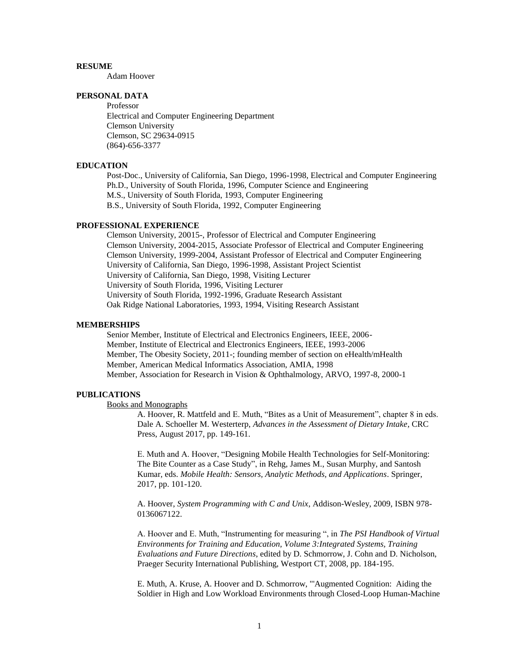## **RESUME**

Adam Hoover

# **PERSONAL DATA**

Professor Electrical and Computer Engineering Department Clemson University Clemson, SC 29634-0915 (864)-656-3377

### **EDUCATION**

Post-Doc., University of California, San Diego, 1996-1998, Electrical and Computer Engineering Ph.D., University of South Florida, 1996, Computer Science and Engineering M.S., University of South Florida, 1993, Computer Engineering B.S., University of South Florida, 1992, Computer Engineering

### **PROFESSIONAL EXPERIENCE**

Clemson University, 20015-, Professor of Electrical and Computer Engineering Clemson University, 2004-2015, Associate Professor of Electrical and Computer Engineering Clemson University, 1999-2004, Assistant Professor of Electrical and Computer Engineering University of California, San Diego, 1996-1998, Assistant Project Scientist University of California, San Diego, 1998, Visiting Lecturer University of South Florida, 1996, Visiting Lecturer University of South Florida, 1992-1996, Graduate Research Assistant Oak Ridge National Laboratories, 1993, 1994, Visiting Research Assistant

### **MEMBERSHIPS**

Senior Member, Institute of Electrical and Electronics Engineers, IEEE, 2006- Member, Institute of Electrical and Electronics Engineers, IEEE, 1993-2006 Member, The Obesity Society, 2011-; founding member of section on eHealth/mHealth Member, American Medical Informatics Association, AMIA, 1998 Member, Association for Research in Vision & Ophthalmology, ARVO, 1997-8, 2000-1

### **PUBLICATIONS**

#### Books and Monographs

A. Hoover, R. Mattfeld and E. Muth, "Bites as a Unit of Measurement", chapter 8 in eds. Dale A. Schoeller M. Westerterp, *Advances in the Assessment of Dietary Intake*, CRC Press, August 2017, pp. 149-161.

E. Muth and A. Hoover, "Designing Mobile Health Technologies for Self-Monitoring: The Bite Counter as a Case Study", in Rehg, James M., Susan Murphy, and Santosh Kumar, eds. *Mobile Health: Sensors, Analytic Methods, and Applications*. Springer, 2017, pp. 101-120.

A. Hoover, *System Programming with C and Unix*, Addison-Wesley, 2009, ISBN 978- 0136067122.

A. Hoover and E. Muth, "Instrumenting for measuring ", in *The PSI Handbook of Virtual Environments for Training and Education, Volume 3:Integrated Systems, Training Evaluations and Future Directions*, edited by D. Schmorrow, J. Cohn and D. Nicholson, Praeger Security International Publishing, Westport CT, 2008, pp. 184-195.

E. Muth, A. Kruse, A. Hoover and D. Schmorrow, "'Augmented Cognition: Aiding the Soldier in High and Low Workload Environments through Closed-Loop Human-Machine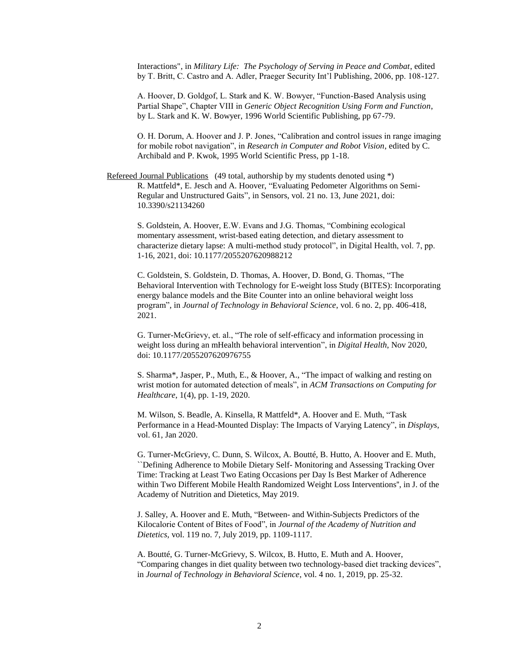Interactions", in *Military Life: The Psychology of Serving in Peace and Combat*, edited by T. Britt, C. Castro and A. Adler, Praeger Security Int'l Publishing, 2006, pp. 108-127.

A. Hoover, D. Goldgof, L. Stark and K. W. Bowyer, "Function-Based Analysis using Partial Shape", Chapter VIII in *Generic Object Recognition Using Form and Function*, by L. Stark and K. W. Bowyer, 1996 World Scientific Publishing, pp 67-79.

O. H. Dorum, A. Hoover and J. P. Jones, "Calibration and control issues in range imaging for mobile robot navigation", in *Research in Computer and Robot Vision*, edited by C. Archibald and P. Kwok, 1995 World Scientific Press, pp 1-18.

Refereed Journal Publications (49 total, authorship by my students denoted using \*) R. Mattfeld\*, E. Jesch and A. Hoover, "Evaluating Pedometer Algorithms on Semi-Regular and Unstructured Gaits", in Sensors, vol. 21 no. 13, June 2021, doi: 10.3390/s21134260

S. Goldstein, A. Hoover, E.W. Evans and J.G. Thomas, "Combining ecological momentary assessment, wrist-based eating detection, and dietary assessment to characterize dietary lapse: A multi-method study protocol", in Digital Health, vol. 7, pp. 1-16, 2021, doi: 10.1177/2055207620988212

C. Goldstein, S. Goldstein, D. Thomas, A. Hoover, D. Bond, G. Thomas, "The Behavioral Intervention with Technology for E-weight loss Study (BITES): Incorporating energy balance models and the Bite Counter into an online behavioral weight loss program", in *Journal of Technology in Behavioral Science*, vol. 6 no. 2, pp. 406-418, 2021.

G. Turner-McGrievy, et. al., "The role of self-efficacy and information processing in weight loss during an mHealth behavioral intervention", in *Digital Health*, Nov 2020, doi: 10.1177/2055207620976755

S. Sharma\*, Jasper, P., Muth, E., & Hoover, A., "The impact of walking and resting on wrist motion for automated detection of meals", in *ACM Transactions on Computing for Healthcare*, 1(4), pp. 1-19, 2020.

M. Wilson, S. Beadle, A. Kinsella, R Mattfeld\*, A. Hoover and E. Muth, "Task Performance in a Head-Mounted Display: The Impacts of Varying Latency", in *Displays*, vol. 61, Jan 2020.

G. Turner-McGrievy, C. Dunn, S. Wilcox, A. Boutté, B. Hutto, A. Hoover and E. Muth, ``Defining Adherence to Mobile Dietary Self- Monitoring and Assessing Tracking Over Time: Tracking at Least Two Eating Occasions per Day Is Best Marker of Adherence within Two Different Mobile Health Randomized Weight Loss Interventions'', in J. of the Academy of Nutrition and Dietetics, May 2019.

J. Salley, A. Hoover and E. Muth, "Between- and Within-Subjects Predictors of the Kilocalorie Content of Bites of Food", in *Journal of the Academy of Nutrition and Dietetics*, vol. 119 no. 7, July 2019, pp. 1109-1117.

A. Boutté, G. Turner-McGrievy, S. Wilcox, B. Hutto, E. Muth and A. Hoover, "Comparing changes in diet quality between two technology-based diet tracking devices", in *Journal of Technology in Behavioral Science*, vol. 4 no. 1, 2019, pp. 25-32.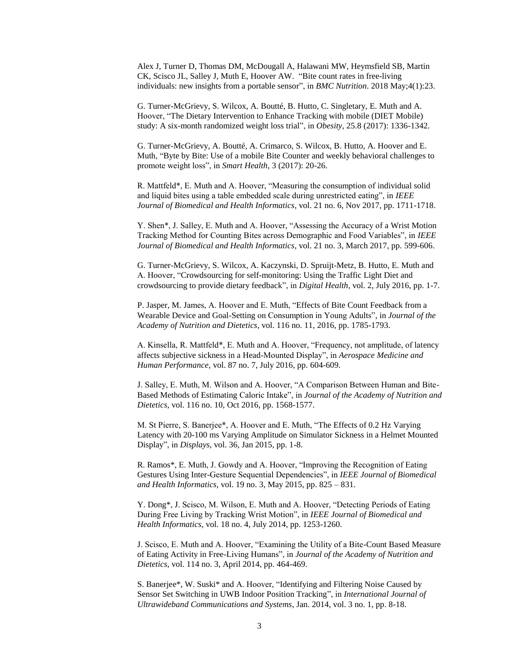Alex J, Turner D, Thomas DM, McDougall A, Halawani MW, Heymsfield SB, Martin CK, Scisco JL, Salley J, Muth E, Hoover AW. "Bite count rates in free-living individuals: new insights from a portable sensor", in *BMC Nutrition*. 2018 May;4(1):23.

G. Turner-McGrievy, S. Wilcox, A. Boutté, B. Hutto, C. Singletary, E. Muth and A. Hoover, "The Dietary Intervention to Enhance Tracking with mobile (DIET Mobile) study: A six-month randomized weight loss trial", in *Obesity*, 25.8 (2017): 1336-1342.

G. Turner-McGrievy, A. Boutté, A. Crimarco, S. Wilcox, B. Hutto, A. Hoover and E. Muth, "Byte by Bite: Use of a mobile Bite Counter and weekly behavioral challenges to promote weight loss", in *Smart Health*, 3 (2017): 20-26.

R. Mattfeld\*, E. Muth and A. Hoover, "Measuring the consumption of individual solid and liquid bites using a table embedded scale during unrestricted eating", in *IEEE Journal of Biomedical and Health Informatics*, vol. 21 no. 6, Nov 2017, pp. 1711-1718.

Y. Shen\*, J. Salley, E. Muth and A. Hoover, "Assessing the Accuracy of a Wrist Motion Tracking Method for Counting Bites across Demographic and Food Variables", in *IEEE Journal of Biomedical and Health Informatics*, vol. 21 no. 3, March 2017, pp. 599-606.

G. Turner-McGrievy, S. Wilcox, A. Kaczynski, D. Spruijt-Metz, B. Hutto, E. Muth and A. Hoover, "Crowdsourcing for self-monitoring: Using the Traffic Light Diet and crowdsourcing to provide dietary feedback", in *Digital Health*, vol. 2, July 2016, pp. 1-7.

P. Jasper, M. James, A. Hoover and E. Muth, "Effects of Bite Count Feedback from a Wearable Device and Goal-Setting on Consumption in Young Adults", in *Journal of the Academy of Nutrition and Dietetics*, vol. 116 no. 11, 2016, pp. 1785-1793.

A. Kinsella, R. Mattfeld\*, E. Muth and A. Hoover, "Frequency, not amplitude, of latency affects subjective sickness in a Head-Mounted Display", in *Aerospace Medicine and Human Performance*, vol. 87 no. 7, July 2016, pp. 604-609.

J. Salley, E. Muth, M. Wilson and A. Hoover, "A Comparison Between Human and Bite-Based Methods of Estimating Caloric Intake", in *Journal of the Academy of Nutrition and Dietetics*, vol. 116 no. 10, Oct 2016, pp. 1568-1577.

M. St Pierre, S. Banerjee\*, A. Hoover and E. Muth, "The Effects of 0.2 Hz Varying Latency with 20-100 ms Varying Amplitude on Simulator Sickness in a Helmet Mounted Display", in *Displays*, vol. 36, Jan 2015, pp. 1-8.

R. Ramos\*, E. Muth, J. Gowdy and A. Hoover, "Improving the Recognition of Eating Gestures Using Inter-Gesture Sequential Dependencies", in *IEEE Journal of Biomedical and Health Informatics*, vol. 19 no. 3, May 2015, pp. 825 – 831.

Y. Dong\*, J. Scisco, M. Wilson, E. Muth and A. Hoover, "Detecting Periods of Eating During Free Living by Tracking Wrist Motion", in *IEEE Journal of Biomedical and Health Informatics*, vol. 18 no. 4, July 2014, pp. 1253-1260.

J. Scisco, E. Muth and A. Hoover, "Examining the Utility of a Bite-Count Based Measure of Eating Activity in Free-Living Humans", in *Journal of the Academy of Nutrition and Dietetics*, vol. 114 no. 3, April 2014, pp. 464-469.

S. Banerjee\*, W. Suski\* and A. Hoover, "Identifying and Filtering Noise Caused by Sensor Set Switching in UWB Indoor Position Tracking", in *International Journal of Ultrawideband Communications and Systems*, Jan. 2014, vol. 3 no. 1, pp. 8-18.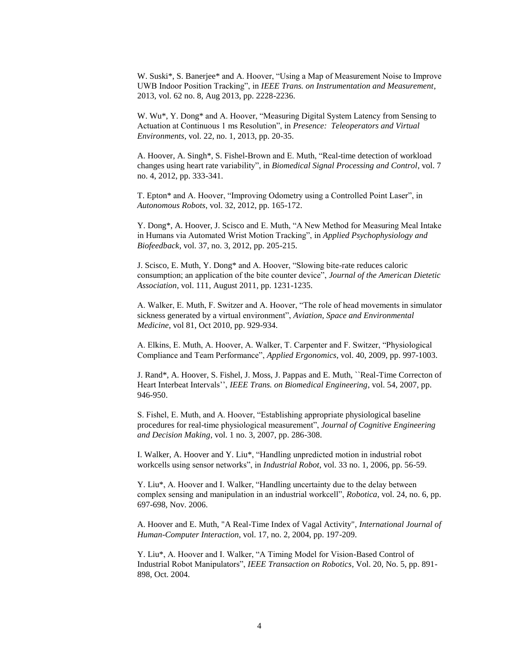W. Suski\*, S. Banerjee\* and A. Hoover, "Using a Map of Measurement Noise to Improve UWB Indoor Position Tracking", in *IEEE Trans. on Instrumentation and Measurement*, 2013, vol. 62 no. 8, Aug 2013, pp. 2228-2236.

W. Wu\*, Y. Dong\* and A. Hoover, "Measuring Digital System Latency from Sensing to Actuation at Continuous 1 ms Resolution", in *Presence: Teleoperators and Virtual Environments*, vol. 22, no. 1, 2013, pp. 20-35.

A. Hoover, A. Singh\*, S. Fishel-Brown and E. Muth, "Real-time detection of workload changes using heart rate variability", in *Biomedical Signal Processing and Control*, vol. 7 no. 4, 2012, pp. 333-341.

T. Epton\* and A. Hoover, "Improving Odometry using a Controlled Point Laser", in *Autonomous Robots*, vol. 32, 2012, pp. 165-172.

Y. Dong\*, A. Hoover, J. Scisco and E. Muth, "A New Method for Measuring Meal Intake in Humans via Automated Wrist Motion Tracking", in *Applied Psychophysiology and Biofeedback*, vol. 37, no. 3, 2012, pp. 205-215.

J. Scisco, E. Muth, Y. Dong\* and A. Hoover, "Slowing bite-rate reduces caloric consumption; an application of the bite counter device", *Journal of the American Dietetic Association*, vol. 111, August 2011, pp. 1231-1235.

A. Walker, E. Muth, F. Switzer and A. Hoover, "The role of head movements in simulator sickness generated by a virtual environment", *Aviation, Space and Environmental Medicine*, vol 81, Oct 2010, pp. 929-934.

A. Elkins, E. Muth, A. Hoover, A. Walker, T. Carpenter and F. Switzer, "Physiological Compliance and Team Performance", *Applied Ergonomics*, vol. 40, 2009, pp. 997-1003.

J. Rand\*, A. Hoover, S. Fishel, J. Moss, J. Pappas and E. Muth, ``Real-Time Correcton of Heart Interbeat Intervals'', *IEEE Trans. on Biomedical Engineering*, vol. 54, 2007, pp. 946-950.

S. Fishel, E. Muth, and A. Hoover, "Establishing appropriate physiological baseline procedures for real-time physiological measurement", *Journal of Cognitive Engineering and Decision Making*, vol. 1 no. 3, 2007, pp. 286-308.

I. Walker, A. Hoover and Y. Liu\*, "Handling unpredicted motion in industrial robot workcells using sensor networks", in *Industrial Robot*, vol. 33 no. 1, 2006, pp. 56-59.

Y. Liu\*, A. Hoover and I. Walker, "Handling uncertainty due to the delay between complex sensing and manipulation in an industrial workcell", *Robotica*, vol. 24, no. 6, pp. 697-698, Nov. 2006.

A. Hoover and E. Muth, "A Real-Time Index of Vagal Activity", *International Journal of Human-Computer Interaction*, vol. 17, no. 2, 2004, pp. 197-209.

Y. Liu\*, A. Hoover and I. Walker, "A Timing Model for Vision-Based Control of Industrial Robot Manipulators", *IEEE Transaction on Robotics*, Vol. 20, No. 5, pp. 891- 898, Oct. 2004.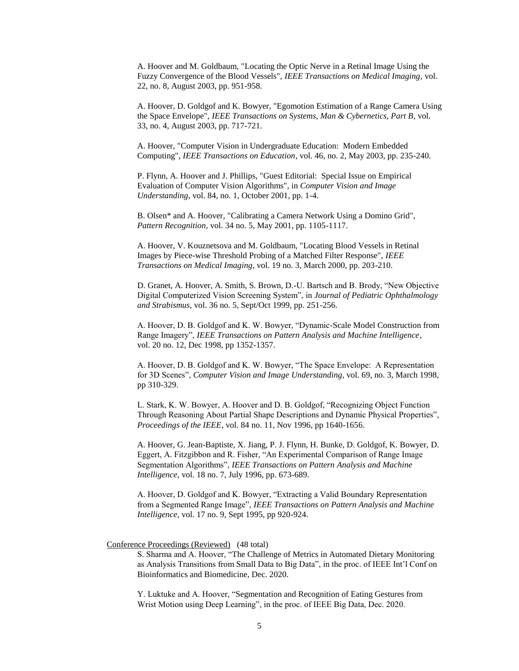A. Hoover and M. Goldbaum, "Locating the Optic Nerve in a Retinal Image Using the Fuzzy Convergence of the Blood Vessels", *IEEE Transactions on Medical Imaging,* vol. 22, no. 8, August 2003, pp. 951-958.

A. Hoover, D. Goldgof and K. Bowyer, "Egomotion Estimation of a Range Camera Using the Space Envelope", *IEEE Transactions on Systems, Man & Cybernetics, Part B*, vol. 33, no. 4, August 2003, pp. 717-721.

A. Hoover, "Computer Vision in Undergraduate Education: Modern Embedded Computing", *IEEE Transactions on Education*, vol. 46, no. 2, May 2003, pp. 235-240.

P. Flynn, A. Hoover and J. Phillips, "Guest Editorial: Special Issue on Empirical Evaluation of Computer Vision Algorithms", in *Computer Vision and Image Understanding*, vol. 84, no. 1, October 2001, pp. 1-4.

B. Olsen\* and A. Hoover, "Calibrating a Camera Network Using a Domino Grid", *Pattern Recognition*, vol. 34 no. 5, May 2001, pp. 1105-1117.

A. Hoover, V. Kouznetsova and M. Goldbaum, "Locating Blood Vessels in Retinal Images by Piece-wise Threshold Probing of a Matched Filter Response", *IEEE Transactions on Medical Imaging*, vol. 19 no. 3, March 2000, pp. 203-210.

D. Granet, A. Hoover, A. Smith, S. Brown, D.-U. Bartsch and B. Brody, "New Objective Digital Computerized Vision Screening System", in *Journal of Pediatric Ophthalmology and Strabismus*, vol. 36 no. 5, Sept/Oct 1999, pp. 251-256.

A. Hoover, D. B. Goldgof and K. W. Bowyer, "Dynamic-Scale Model Construction from Range Imagery", *IEEE Transactions on Pattern Analysis and Machine Intelligence*, vol. 20 no. 12, Dec 1998, pp 1352-1357.

A. Hoover, D. B. Goldgof and K. W. Bowyer, "The Space Envelope: A Representation for 3D Scenes", *Computer Vision and Image Understanding*, vol. 69, no. 3, March 1998, pp 310-329.

L. Stark, K. W. Bowyer, A. Hoover and D. B. Goldgof, "Recognizing Object Function Through Reasoning About Partial Shape Descriptions and Dynamic Physical Properties", *Proceedings of the IEEE*, vol. 84 no. 11, Nov 1996, pp 1640-1656.

A. Hoover, G. Jean-Baptiste, X. Jiang, P. J. Flynn, H. Bunke, D. Goldgof, K. Bowyer, D. Eggert, A. Fitzgibbon and R. Fisher, "An Experimental Comparison of Range Image Segmentation Algorithms", *IEEE Transactions on Pattern Analysis and Machine Intelligence*, vol. 18 no. 7, July 1996, pp. 673-689.

A. Hoover, D. Goldgof and K. Bowyer, "Extracting a Valid Boundary Representation from a Segmented Range Image", *IEEE Transactions on Pattern Analysis and Machine Intelligence*, vol. 17 no. 9, Sept 1995, pp 920-924.

Conference Proceedings (Reviewed) (48 total)

S. Sharma and A. Hoover, "The Challenge of Metrics in Automated Dietary Monitoring as Analysis Transitions from Small Data to Big Data", in the proc. of IEEE Int'l Conf on Bioinformatics and Biomedicine, Dec. 2020.

Y. Luktuke and A. Hoover, "Segmentation and Recognition of Eating Gestures from Wrist Motion using Deep Learning", in the proc. of IEEE Big Data, Dec. 2020.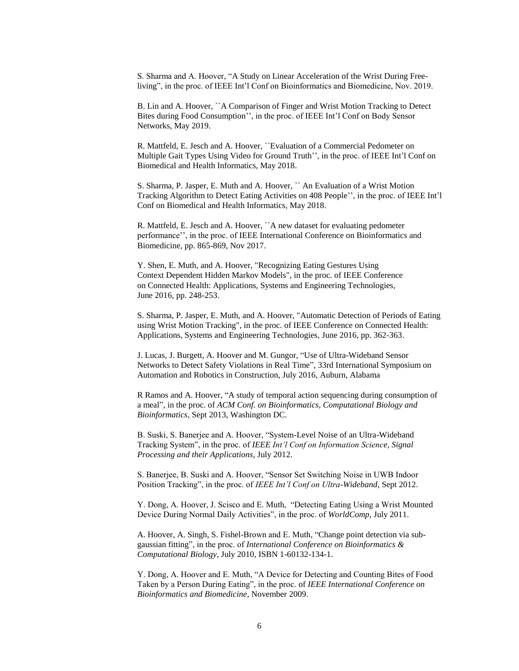S. Sharma and A. Hoover, "A Study on Linear Acceleration of the Wrist During Freeliving", in the proc. of IEEE Int'l Conf on Bioinformatics and Biomedicine, Nov. 2019.

B. Lin and A. Hoover, ``A Comparison of Finger and Wrist Motion Tracking to Detect Bites during Food Consumption'', in the proc. of IEEE Int'l Conf on Body Sensor Networks, May 2019.

R. Mattfeld, E. Jesch and A. Hoover, ``Evaluation of a Commercial Pedometer on Multiple Gait Types Using Video for Ground Truth'', in the proc. of IEEE Int'l Conf on Biomedical and Health Informatics, May 2018.

S. Sharma, P. Jasper, E. Muth and A. Hoover, `` An Evaluation of a Wrist Motion Tracking Algorithm to Detect Eating Activities on 408 People'', in the proc. of IEEE Int'l Conf on Biomedical and Health Informatics, May 2018.

R. Mattfeld, E. Jesch and A. Hoover, ``A new dataset for evaluating pedometer performance'', in the proc. of IEEE International Conference on Bioinformatics and Biomedicine, pp. 865-869, Nov 2017.

Y. Shen, E. Muth, and A. Hoover, "Recognizing Eating Gestures Using Context Dependent Hidden Markov Models", in the proc. of IEEE Conference on Connected Health: Applications, Systems and Engineering Technologies, June 2016, pp. 248-253.

S. Sharma, P. Jasper, E. Muth, and A. Hoover, "Automatic Detection of Periods of Eating using Wrist Motion Tracking", in the proc. of IEEE Conference on Connected Health: Applications, Systems and Engineering Technologies, June 2016, pp. 362-363.

J. Lucas, J. Burgett, A. Hoover and M. Gungor, "Use of Ultra-Wideband Sensor Networks to Detect Safety Violations in Real Time", 33rd International Symposium on Automation and Robotics in Construction, July 2016, Auburn, Alabama

R Ramos and A. Hoover, "A study of temporal action sequencing during consumption of a meal", in the proc. of *ACM Conf. on Bioinformatics, Computational Biology and Bioinformatics*, Sept 2013, Washington DC.

B. Suski, S. Banerjee and A. Hoover, "System-Level Noise of an Ultra-Wideband Tracking System", in the proc. of *IEEE Int'l Conf on Information Science, Signal Processing and their Applications*, July 2012.

S. Banerjee, B. Suski and A. Hoover, "Sensor Set Switching Noise in UWB Indoor Position Tracking", in the proc. of *IEEE Int'l Conf on Ultra-Wideband*, Sept 2012.

Y. Dong, A. Hoover, J. Scisco and E. Muth, "Detecting Eating Using a Wrist Mounted Device During Normal Daily Activities", in the proc. of *WorldComp*, July 2011.

A. Hoover, A. Singh, S. Fishel-Brown and E. Muth, "Change point detection via subgaussian fitting", in the proc. of *International Conference on Bioinformatics & Computational Biology*, July 2010, ISBN 1-60132-134-1.

Y. Dong, A. Hoover and E. Muth, "A Device for Detecting and Counting Bites of Food Taken by a Person During Eating", in the proc. of *IEEE International Conference on Bioinformatics and Biomedicine*, November 2009.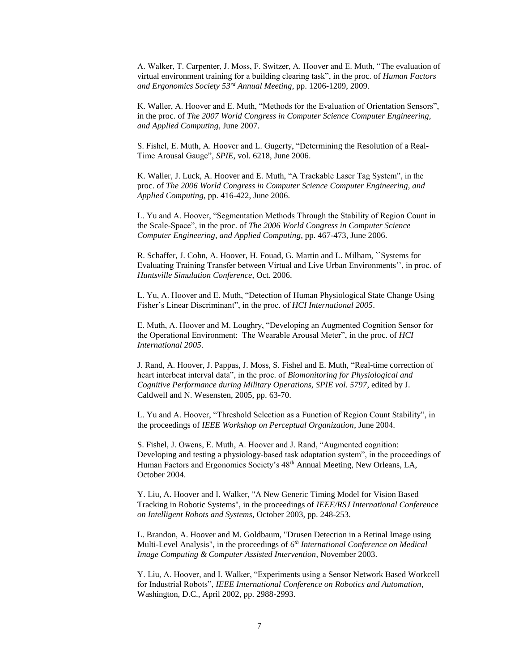A. Walker, T. Carpenter, J. Moss, F. Switzer, A. Hoover and E. Muth, "The evaluation of virtual environment training for a building clearing task", in the proc. of *Human Factors and Ergonomics Society 53rd Annual Meeting*, pp. 1206-1209, 2009.

K. Waller, A. Hoover and E. Muth, "Methods for the Evaluation of Orientation Sensors", in the proc. of *The 2007 World Congress in Computer Science Computer Engineering, and Applied Computing*, June 2007.

S. Fishel, E. Muth, A. Hoover and L. Gugerty, "Determining the Resolution of a Real-Time Arousal Gauge", *SPIE*, vol. 6218, June 2006.

K. Waller, J. Luck, A. Hoover and E. Muth, "A Trackable Laser Tag System", in the proc. of *The 2006 World Congress in Computer Science Computer Engineering, and Applied Computing*, pp. 416-422, June 2006.

L. Yu and A. Hoover, "Segmentation Methods Through the Stability of Region Count in the Scale-Space", in the proc. of *The 2006 World Congress in Computer Science Computer Engineering, and Applied Computing*, pp. 467-473, June 2006.

R. Schaffer, J. Cohn, A. Hoover, H. Fouad, G. Martin and L. Milham, ``Systems for Evaluating Training Transfer between Virtual and Live Urban Environments'', in proc. of *Huntsville Simulation Conference*, Oct. 2006.

L. Yu, A. Hoover and E. Muth, "Detection of Human Physiological State Change Using Fisher's Linear Discriminant", in the proc. of *HCI International 2005*.

E. Muth, A. Hoover and M. Loughry, "Developing an Augmented Cognition Sensor for the Operational Environment: The Wearable Arousal Meter", in the proc. of *HCI International 2005*.

J. Rand, A. Hoover, J. Pappas, J. Moss, S. Fishel and E. Muth, "Real-time correction of heart interbeat interval data", in the proc. of *Biomonitoring for Physiological and Cognitive Performance during Military Operations, SPIE vol. 5797*, edited by J. Caldwell and N. Wesensten, 2005, pp. 63-70.

L. Yu and A. Hoover, "Threshold Selection as a Function of Region Count Stability", in the proceedings of *IEEE Workshop on Perceptual Organization*, June 2004.

S. Fishel, J. Owens, E. Muth, A. Hoover and J. Rand, "Augmented cognition: Developing and testing a physiology-based task adaptation system", in the proceedings of Human Factors and Ergonomics Society's 48<sup>th</sup> Annual Meeting, New Orleans, LA, October 2004.

Y. Liu, A. Hoover and I. Walker, "A New Generic Timing Model for Vision Based Tracking in Robotic Systems", in the proceedings of *IEEE/RSJ International Conference on Intelligent Robots and Systems*, October 2003, pp. 248-253.

L. Brandon, A. Hoover and M. Goldbaum, "Drusen Detection in a Retinal Image using Multi-Level Analysis", in the proceedings of *6 th International Conference on Medical Image Computing & Computer Assisted Intervention*, November 2003.

Y. Liu, A. Hoover, and I. Walker, "Experiments using a Sensor Network Based Workcell for Industrial Robots", *IEEE International Conference on Robotics and Automation*, Washington, D.C., April 2002, pp. 2988-2993.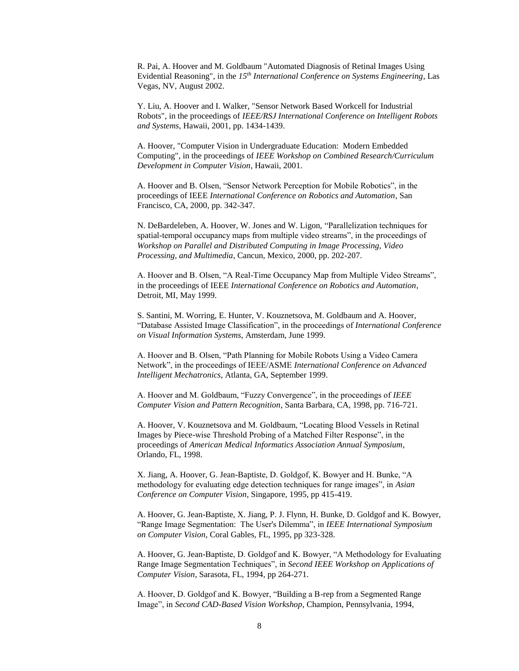R. Pai, A. Hoover and M. Goldbaum "Automated Diagnosis of Retinal Images Using Evidential Reasoning", in the *15th International Conference on Systems Engineering*, Las Vegas, NV, August 2002.

Y. Liu, A. Hoover and I. Walker, "Sensor Network Based Workcell for Industrial Robots", in the proceedings of *IEEE/RSJ International Conference on Intelligent Robots and Systems*, Hawaii, 2001, pp. 1434-1439.

A. Hoover, "Computer Vision in Undergraduate Education: Modern Embedded Computing", in the proceedings of *IEEE Workshop on Combined Research/Curriculum Development in Computer Vision*, Hawaii, 2001.

A. Hoover and B. Olsen, "Sensor Network Perception for Mobile Robotics", in the proceedings of IEEE *International Conference on Robotics and Automation*, San Francisco, CA, 2000, pp. 342-347.

N. DeBardeleben, A. Hoover, W. Jones and W. Ligon, "Parallelization techniques for spatial-temporal occupancy maps from multiple video streams", in the proceedings of *Workshop on Parallel and Distributed Computing in Image Processing, Video Processing, and Multimedia*, Cancun, Mexico, 2000, pp. 202-207.

A. Hoover and B. Olsen, "A Real-Time Occupancy Map from Multiple Video Streams", in the proceedings of IEEE *International Conference on Robotics and Automation*, Detroit, MI, May 1999.

S. Santini, M. Worring, E. Hunter, V. Kouznetsova, M. Goldbaum and A. Hoover, "Database Assisted Image Classification", in the proceedings of *International Conference on Visual Information Systems*, Amsterdam, June 1999.

A. Hoover and B. Olsen, "Path Planning for Mobile Robots Using a Video Camera Network", in the proceedings of IEEE/ASME *International Conference on Advanced Intelligent Mechatronics*, Atlanta, GA, September 1999.

A. Hoover and M. Goldbaum, "Fuzzy Convergence", in the proceedings of *IEEE Computer Vision and Pattern Recognition*, Santa Barbara, CA, 1998, pp. 716-721.

A. Hoover, V. Kouznetsova and M. Goldbaum, "Locating Blood Vessels in Retinal Images by Piece-wise Threshold Probing of a Matched Filter Response", in the proceedings of *American Medical Informatics Association Annual Symposium*, Orlando, FL, 1998.

X. Jiang, A. Hoover, G. Jean-Baptiste, D. Goldgof, K. Bowyer and H. Bunke, "A methodology for evaluating edge detection techniques for range images", in *Asian Conference on Computer Vision*, Singapore, 1995, pp 415-419.

A. Hoover, G. Jean-Baptiste, X. Jiang, P. J. Flynn, H. Bunke, D. Goldgof and K. Bowyer, "Range Image Segmentation: The User's Dilemma", in *IEEE International Symposium on Computer Vision*, Coral Gables, FL, 1995, pp 323-328.

A. Hoover, G. Jean-Baptiste, D. Goldgof and K. Bowyer, "A Methodology for Evaluating Range Image Segmentation Techniques", in *Second IEEE Workshop on Applications of Computer Vision*, Sarasota, FL, 1994, pp 264-271.

A. Hoover, D. Goldgof and K. Bowyer, "Building a B-rep from a Segmented Range Image", in *Second CAD-Based Vision Workshop*, Champion, Pennsylvania, 1994,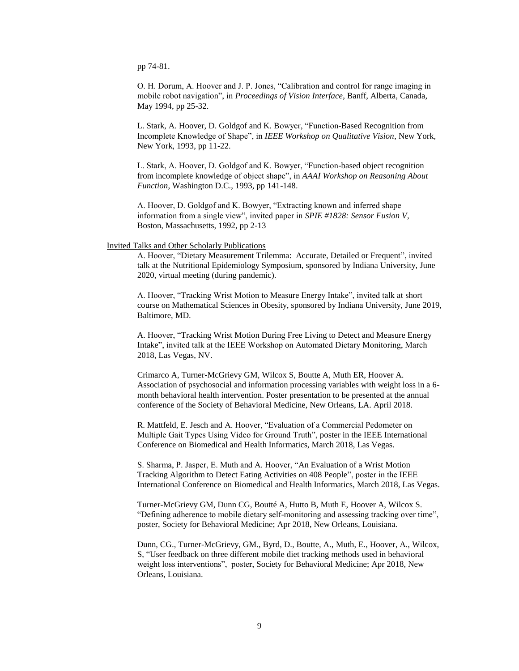pp 74-81.

O. H. Dorum, A. Hoover and J. P. Jones, "Calibration and control for range imaging in mobile robot navigation", in *Proceedings of Vision Interface*, Banff, Alberta, Canada, May 1994, pp 25-32.

L. Stark, A. Hoover, D. Goldgof and K. Bowyer, "Function-Based Recognition from Incomplete Knowledge of Shape", in *IEEE Workshop on Qualitative Vision*, New York, New York, 1993, pp 11-22.

L. Stark, A. Hoover, D. Goldgof and K. Bowyer, "Function-based object recognition from incomplete knowledge of object shape", in *AAAI Workshop on Reasoning About Function*, Washington D.C., 1993, pp 141-148.

A. Hoover, D. Goldgof and K. Bowyer, "Extracting known and inferred shape information from a single view", invited paper in *SPIE #1828: Sensor Fusion V*, Boston, Massachusetts, 1992, pp 2-13

### Invited Talks and Other Scholarly Publications

A. Hoover, "Dietary Measurement Trilemma: Accurate, Detailed or Frequent", invited talk at the Nutritional Epidemiology Symposium, sponsored by Indiana University, June 2020, virtual meeting (during pandemic).

A. Hoover, "Tracking Wrist Motion to Measure Energy Intake", invited talk at short course on Mathematical Sciences in Obesity, sponsored by Indiana University, June 2019, Baltimore, MD.

A. Hoover, "Tracking Wrist Motion During Free Living to Detect and Measure Energy Intake", invited talk at the IEEE Workshop on Automated Dietary Monitoring, March 2018, Las Vegas, NV.

Crimarco A, Turner-McGrievy GM, Wilcox S, Boutte A, Muth ER, Hoover A. Association of psychosocial and information processing variables with weight loss in a 6 month behavioral health intervention. Poster presentation to be presented at the annual conference of the Society of Behavioral Medicine, New Orleans, LA. April 2018.

R. Mattfeld, E. Jesch and A. Hoover, "Evaluation of a Commercial Pedometer on Multiple Gait Types Using Video for Ground Truth", poster in the IEEE International Conference on Biomedical and Health Informatics, March 2018, Las Vegas.

S. Sharma, P. Jasper, E. Muth and A. Hoover, "An Evaluation of a Wrist Motion Tracking Algorithm to Detect Eating Activities on 408 People", poster in the IEEE International Conference on Biomedical and Health Informatics, March 2018, Las Vegas.

Turner-McGrievy GM, Dunn CG, Boutté A, Hutto B, Muth E, Hoover A, Wilcox S. "Defining adherence to mobile dietary self-monitoring and assessing tracking over time", poster, Society for Behavioral Medicine; Apr 2018, New Orleans, Louisiana.

Dunn, CG., Turner-McGrievy, GM., Byrd, D., Boutte, A., Muth, E., Hoover, A., Wilcox, S, "User feedback on three different mobile diet tracking methods used in behavioral weight loss interventions", poster, Society for Behavioral Medicine; Apr 2018, New Orleans, Louisiana.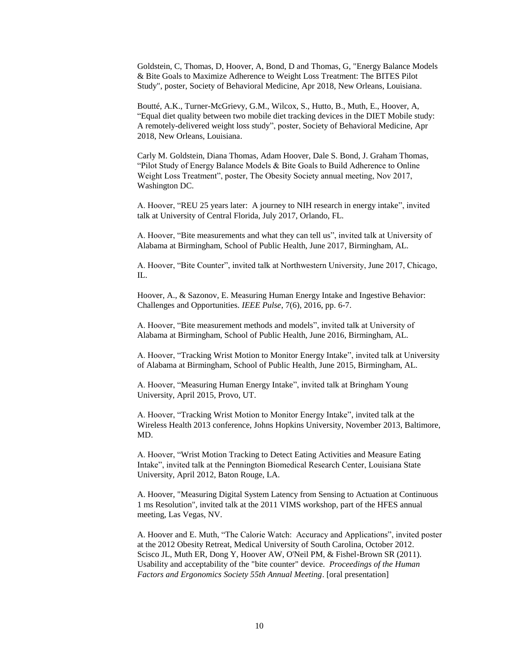Goldstein, C, Thomas, D, Hoover, A, Bond, D and Thomas, G, "Energy Balance Models & Bite Goals to Maximize Adherence to Weight Loss Treatment: The BITES Pilot Study", poster, Society of Behavioral Medicine, Apr 2018, New Orleans, Louisiana.

Boutté, A.K., Turner-McGrievy, G.M., Wilcox, S., Hutto, B., Muth, E., Hoover, A, "Equal diet quality between two mobile diet tracking devices in the DIET Mobile study: A remotely-delivered weight loss study", poster, Society of Behavioral Medicine, Apr 2018, New Orleans, Louisiana.

Carly M. Goldstein, Diana Thomas, Adam Hoover, Dale S. Bond, J. Graham Thomas, "Pilot Study of Energy Balance Models & Bite Goals to Build Adherence to Online Weight Loss Treatment", poster, The Obesity Society annual meeting, Nov 2017, Washington DC.

A. Hoover, "REU 25 years later: A journey to NIH research in energy intake", invited talk at University of Central Florida, July 2017, Orlando, FL.

A. Hoover, "Bite measurements and what they can tell us", invited talk at University of Alabama at Birmingham, School of Public Health, June 2017, Birmingham, AL.

A. Hoover, "Bite Counter", invited talk at Northwestern University, June 2017, Chicago, IL.

Hoover, A., & Sazonov, E. Measuring Human Energy Intake and Ingestive Behavior: Challenges and Opportunities. *IEEE Pulse*, 7(6), 2016, pp. 6-7.

A. Hoover, "Bite measurement methods and models", invited talk at University of Alabama at Birmingham, School of Public Health, June 2016, Birmingham, AL.

A. Hoover, "Tracking Wrist Motion to Monitor Energy Intake", invited talk at University of Alabama at Birmingham, School of Public Health, June 2015, Birmingham, AL.

A. Hoover, "Measuring Human Energy Intake", invited talk at Bringham Young University, April 2015, Provo, UT.

A. Hoover, "Tracking Wrist Motion to Monitor Energy Intake", invited talk at the Wireless Health 2013 conference, Johns Hopkins University, November 2013, Baltimore, MD.

A. Hoover, "Wrist Motion Tracking to Detect Eating Activities and Measure Eating Intake", invited talk at the Pennington Biomedical Research Center, Louisiana State University, April 2012, Baton Rouge, LA.

A. Hoover, "Measuring Digital System Latency from Sensing to Actuation at Continuous 1 ms Resolution", invited talk at the 2011 VIMS workshop, part of the HFES annual meeting, Las Vegas, NV.

A. Hoover and E. Muth, "The Calorie Watch: Accuracy and Applications", invited poster at the 2012 Obesity Retreat, Medical University of South Carolina, October 2012. Scisco JL, Muth ER, Dong Y, Hoover AW, O'Neil PM, & Fishel-Brown SR (2011). Usability and acceptability of the "bite counter" device. *Proceedings of the Human Factors and Ergonomics Society 55th Annual Meeting*. [oral presentation]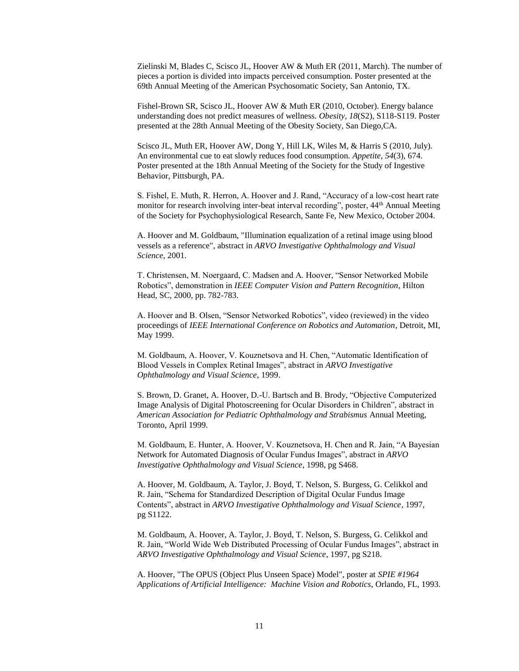Zielinski M, Blades C, Scisco JL, Hoover AW & Muth ER (2011, March). The number of pieces a portion is divided into impacts perceived consumption. Poster presented at the 69th Annual Meeting of the American Psychosomatic Society, San Antonio, TX.

Fishel-Brown SR, Scisco JL, Hoover AW & Muth ER (2010, October). Energy balance understanding does not predict measures of wellness. *Obesity, 18*(S2), S118-S119. Poster presented at the 28th Annual Meeting of the Obesity Society, San Diego,CA.

Scisco JL, Muth ER, Hoover AW, Dong Y, Hill LK, Wiles M, & Harris S (2010, July). An environmental cue to eat slowly reduces food consumption. *Appetite, 54*(3), 674. Poster presented at the 18th Annual Meeting of the Society for the Study of Ingestive Behavior, Pittsburgh, PA.

S. Fishel, E. Muth, R. Herron, A. Hoover and J. Rand, "Accuracy of a low-cost heart rate monitor for research involving inter-beat interval recording", poster, 44<sup>th</sup> Annual Meeting of the Society for Psychophysiological Research, Sante Fe, New Mexico, October 2004.

A. Hoover and M. Goldbaum, "Illumination equalization of a retinal image using blood vessels as a reference", abstract in *ARVO Investigative Ophthalmology and Visual Science*, 2001.

T. Christensen, M. Noergaard, C. Madsen and A. Hoover, "Sensor Networked Mobile Robotics", demonstration in *IEEE Computer Vision and Pattern Recognition*, Hilton Head, SC, 2000, pp. 782-783.

A. Hoover and B. Olsen, "Sensor Networked Robotics", video (reviewed) in the video proceedings of *IEEE International Conference on Robotics and Automation*, Detroit, MI, May 1999.

M. Goldbaum, A. Hoover, V. Kouznetsova and H. Chen, "Automatic Identification of Blood Vessels in Complex Retinal Images", abstract in *ARVO Investigative Ophthalmology and Visual Science*, 1999.

S. Brown, D. Granet, A. Hoover, D.-U. Bartsch and B. Brody, "Objective Computerized Image Analysis of Digital Photoscreening for Ocular Disorders in Children", abstract in *American Association for Pediatric Ophthalmology and Strabismus* Annual Meeting, Toronto, April 1999.

M. Goldbaum, E. Hunter, A. Hoover, V. Kouznetsova, H. Chen and R. Jain, "A Bayesian Network for Automated Diagnosis of Ocular Fundus Images", abstract in *ARVO Investigative Ophthalmology and Visual Science*, 1998, pg S468.

A. Hoover, M. Goldbaum, A. Taylor, J. Boyd, T. Nelson, S. Burgess, G. Celikkol and R. Jain, "Schema for Standardized Description of Digital Ocular Fundus Image Contents", abstract in *ARVO Investigative Ophthalmology and Visual Science*, 1997, pg S1122.

M. Goldbaum, A. Hoover, A. Taylor, J. Boyd, T. Nelson, S. Burgess, G. Celikkol and R. Jain, "World Wide Web Distributed Processing of Ocular Fundus Images", abstract in *ARVO Investigative Ophthalmology and Visual Science*, 1997, pg S218.

A. Hoover, "The OPUS (Object Plus Unseen Space) Model", poster at *SPIE #1964 Applications of Artificial Intelligence: Machine Vision and Robotics*, Orlando, FL, 1993.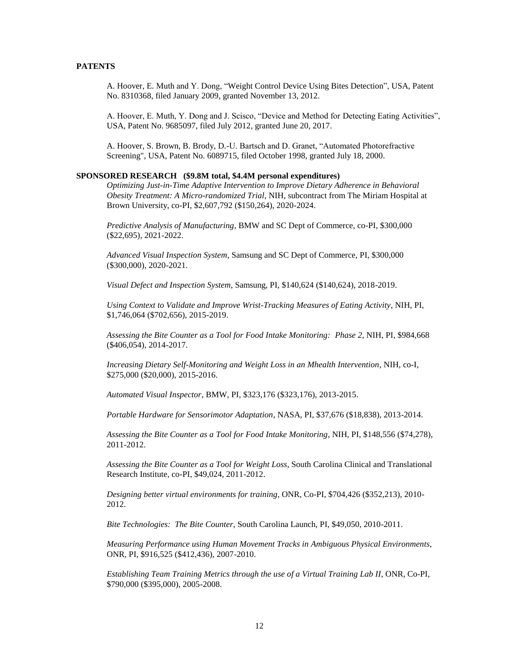# **PATENTS**

A. Hoover, E. Muth and Y. Dong, "Weight Control Device Using Bites Detection", USA, Patent No. 8310368, filed January 2009, granted November 13, 2012.

A. Hoover, E. Muth, Y. Dong and J. Scisco, "Device and Method for Detecting Eating Activities", USA, Patent No. 9685097, filed July 2012, granted June 20, 2017.

A. Hoover, S. Brown, B. Brody, D.-U. Bartsch and D. Granet, "Automated Photorefractive Screening", USA, Patent No. 6089715, filed October 1998, granted July 18, 2000.

#### **SPONSORED RESEARCH (\$9.8M total, \$4.4M personal expenditures)**

*Optimizing Just-in-Time Adaptive Intervention to Improve Dietary Adherence in Behavioral Obesity Treatment: A Micro-randomized Trial*, NIH, subcontract from The Miriam Hospital at Brown University, co-PI, \$2,607,792 (\$150,264), 2020-2024.

*Predictive Analysis of Manufacturing*, BMW and SC Dept of Commerce, co-PI, \$300,000 (\$22,695), 2021-2022.

*Advanced Visual Inspection System*, Samsung and SC Dept of Commerce, PI, \$300,000 (\$300,000), 2020-2021.

*Visual Defect and Inspection System*, Samsung, PI, \$140,624 (\$140,624), 2018-2019.

*Using Context to Validate and Improve Wrist-Tracking Measures of Eating Activity*, NIH, PI, \$1,746,064 (\$702,656), 2015-2019.

*Assessing the Bite Counter as a Tool for Food Intake Monitoring: Phase 2*, NIH, PI, \$984,668 (\$406,054), 2014-2017.

*Increasing Dietary Self-Monitoring and Weight Loss in an Mhealth Intervention*, NIH, co-I, \$275,000 (\$20,000), 2015-2016.

*Automated Visual Inspector*, BMW, PI, \$323,176 (\$323,176), 2013-2015.

*Portable Hardware for Sensorimotor Adaptation*, NASA, PI, \$37,676 (\$18,838), 2013-2014.

*Assessing the Bite Counter as a Tool for Food Intake Monitoring*, NIH, PI, \$148,556 (\$74,278), 2011-2012.

*Assessing the Bite Counter as a Tool for Weight Loss*, South Carolina Clinical and Translational Research Institute, co-PI, \$49,024, 2011-2012.

*Designing better virtual environments for training*, ONR, Co-PI, \$704,426 (\$352,213), 2010- 2012.

*Bite Technologies: The Bite Counter*, South Carolina Launch, PI, \$49,050, 2010-2011.

*Measuring Performance using Human Movement Tracks in Ambiguous Physical Environments*, ONR, PI, \$916,525 (\$412,436), 2007-2010.

*Establishing Team Training Metrics through the use of a Virtual Training Lab II*, ONR, Co-PI, \$790,000 (\$395,000), 2005-2008.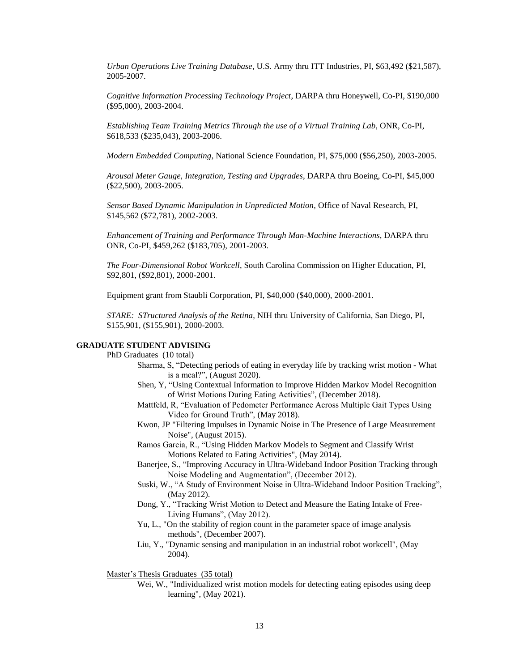*Urban Operations Live Training Database*, U.S. Army thru ITT Industries, PI, \$63,492 (\$21,587), 2005-2007.

*Cognitive Information Processing Technology Project*, DARPA thru Honeywell, Co-PI, \$190,000 (\$95,000), 2003-2004.

*Establishing Team Training Metrics Through the use of a Virtual Training Lab*, ONR, Co-PI, \$618,533 (\$235,043), 2003-2006.

*Modern Embedded Computing*, National Science Foundation, PI, \$75,000 (\$56,250), 2003-2005.

*Arousal Meter Gauge, Integration, Testing and Upgrades*, DARPA thru Boeing, Co-PI, \$45,000 (\$22,500), 2003-2005.

*Sensor Based Dynamic Manipulation in Unpredicted Motion*, Office of Naval Research, PI, \$145,562 (\$72,781), 2002-2003.

*Enhancement of Training and Performance Through Man-Machine Interactions*, DARPA thru ONR, Co-PI, \$459,262 (\$183,705), 2001-2003.

*The Four-Dimensional Robot Workcell*, South Carolina Commission on Higher Education, PI, \$92,801, (\$92,801), 2000-2001.

Equipment grant from Staubli Corporation, PI, \$40,000 (\$40,000), 2000-2001.

*STARE: STructured Analysis of the Retina*, NIH thru University of California, San Diego, PI, \$155,901, (\$155,901), 2000-2003.

# **GRADUATE STUDENT ADVISING**

# PhD Graduates (10 total)

- Sharma, S, "Detecting periods of eating in everyday life by tracking wrist motion What is a meal?", (August 2020).
- Shen, Y, "Using Contextual Information to Improve Hidden Markov Model Recognition of Wrist Motions During Eating Activities", (December 2018).
- Mattfeld, R, "Evaluation of Pedometer Performance Across Multiple Gait Types Using Video for Ground Truth", (May 2018).
- Kwon, JP "Filtering Impulses in Dynamic Noise in The Presence of Large Measurement Noise", (August 2015).
- Ramos Garcia, R., "Using Hidden Markov Models to Segment and Classify Wrist Motions Related to Eating Activities", (May 2014).
- Banerjee, S., "Improving Accuracy in Ultra-Wideband Indoor Position Tracking through Noise Modeling and Augmentation", (December 2012).
- Suski, W., "A Study of Environment Noise in Ultra-Wideband Indoor Position Tracking", (May 2012).
- Dong, Y., "Tracking Wrist Motion to Detect and Measure the Eating Intake of Free-Living Humans", (May 2012).
- Yu, L., "On the stability of region count in the parameter space of image analysis methods", (December 2007).
- Liu, Y., "Dynamic sensing and manipulation in an industrial robot workcell", (May 2004).

Master's Thesis Graduates (35 total)

Wei, W., "Individualized wrist motion models for detecting eating episodes using deep learning", (May 2021).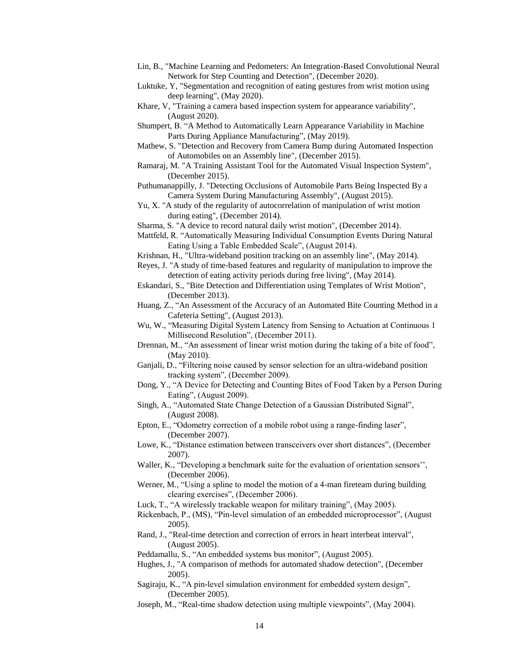- Lin, B., "Machine Learning and Pedometers: An Integration-Based Convolutional Neural Network for Step Counting and Detection", (December 2020).
- Luktuke, Y, "Segmentation and recognition of eating gestures from wrist motion using deep learning", (May 2020).
- Khare, V, "Training a camera based inspection system for appearance variability", (August 2020).
- Shumpert, B. "A Method to Automatically Learn Appearance Variability in Machine Parts During Appliance Manufacturing", (May 2019).
- Mathew, S. "Detection and Recovery from Camera Bump during Automated Inspection of Automobiles on an Assembly line", (December 2015).
- Ramaraj, M. "A Training Assistant Tool for the Automated Visual Inspection System", (December 2015).
- Puthumanappilly, J. "Detecting Occlusions of Automobile Parts Being Inspected By a Camera System During Manufacturing Assembly", (August 2015).
- Yu, X. "A study of the regularity of autocorrelation of manipulation of wrist motion during eating", (December 2014).
- Sharma, S. "A device to record natural daily wrist motion", (December 2014).
- Mattfeld, R. "Automatically Measuring Individual Consumption Events During Natural Eating Using a Table Embedded Scale", (August 2014).
- Krishnan, H., "Ultra-wideband position tracking on an assembly line", (May 2014).
- Reyes, J. "A study of time-based features and regularity of manipulation to improve the detection of eating activity periods during free living", (May 2014).
- Eskandari, S., "Bite Detection and Differentiation using Templates of Wrist Motion", (December 2013).
- Huang, Z., "An Assessment of the Accuracy of an Automated Bite Counting Method in a Cafeteria Setting", (August 2013).
- Wu, W., "Measuring Digital System Latency from Sensing to Actuation at Continuous 1 Millisecond Resolution", (December 2011).
- Drennan, M., "An assessment of linear wrist motion during the taking of a bite of food", (May 2010).
- Ganjali, D., "Filtering noise caused by sensor selection for an ultra-wideband position tracking system", (December 2009).
- Dong, Y., "A Device for Detecting and Counting Bites of Food Taken by a Person During Eating", (August 2009).
- Singh, A., "Automated State Change Detection of a Gaussian Distributed Signal", (August 2008).
- Epton, E., "Odometry correction of a mobile robot using a range-finding laser", (December 2007).
- Lowe, K., "Distance estimation between transceivers over short distances", (December 2007).
- Waller, K., "Developing a benchmark suite for the evaluation of orientation sensors", (December 2006).
- Werner, M., "Using a spline to model the motion of a 4-man fireteam during building clearing exercises", (December 2006).
- Luck, T., "A wirelessly trackable weapon for military training", (May 2005).
- Rickenbach, P., (MS), "Pin-level simulation of an embedded microprocessor", (August 2005).
- Rand, J., "Real-time detection and correction of errors in heart interbeat interval", (August 2005).
- Peddamallu, S., "An embedded systems bus monitor", (August 2005).
- Hughes, J., "A comparison of methods for automated shadow detection", (December 2005).
- Sagiraju, K., "A pin-level simulation environment for embedded system design", (December 2005).
- Joseph, M., "Real-time shadow detection using multiple viewpoints", (May 2004).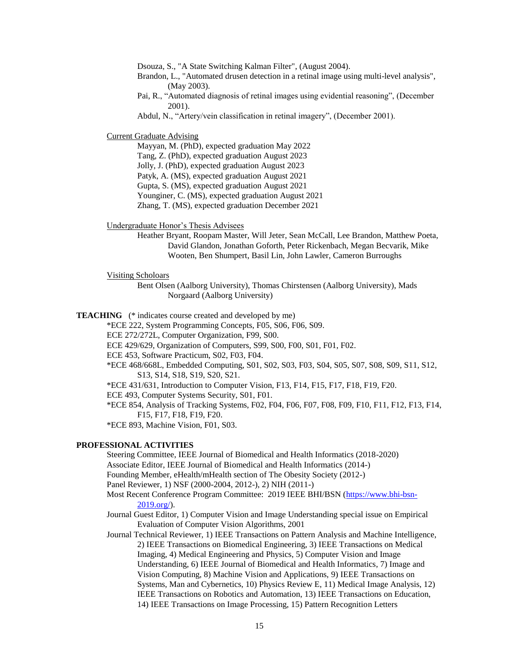Dsouza, S., "A State Switching Kalman Filter", (August 2004).

- Brandon, L., "Automated drusen detection in a retinal image using multi-level analysis", (May 2003).
- Pai, R., "Automated diagnosis of retinal images using evidential reasoning", (December 2001).
- Abdul, N., "Artery/vein classification in retinal imagery", (December 2001).

Current Graduate Advising

Mayyan, M. (PhD), expected graduation May 2022 Tang, Z. (PhD), expected graduation August 2023 Jolly, J. (PhD), expected graduation August 2023 Patyk, A. (MS), expected graduation August 2021 Gupta, S. (MS), expected graduation August 2021 Younginer, C. (MS), expected graduation August 2021 Zhang, T. (MS), expected graduation December 2021

Undergraduate Honor's Thesis Advisees

Heather Bryant, Roopam Master, Will Jeter, Sean McCall, Lee Brandon, Matthew Poeta, David Glandon, Jonathan Goforth, Peter Rickenbach, Megan Becvarik, Mike Wooten, Ben Shumpert, Basil Lin, John Lawler, Cameron Burroughs

Visiting Scholoars

Bent Olsen (Aalborg University), Thomas Chirstensen (Aalborg University), Mads Norgaard (Aalborg University)

**TEACHING** (\* indicates course created and developed by me)

\*ECE 222, System Programming Concepts, F05, S06, F06, S09.

- ECE 272/272L, Computer Organization, F99, S00.
- ECE 429/629, Organization of Computers, S99, S00, F00, S01, F01, F02.
- ECE 453, Software Practicum, S02, F03, F04.
- \*ECE 468/668L, Embedded Computing, S01, S02, S03, F03, S04, S05, S07, S08, S09, S11, S12, S13, S14, S18, S19, S20, S21.
- \*ECE 431/631, Introduction to Computer Vision, F13, F14, F15, F17, F18, F19, F20.

ECE 493, Computer Systems Security, S01, F01.

\*ECE 854, Analysis of Tracking Systems, F02, F04, F06, F07, F08, F09, F10, F11, F12, F13, F14, F15, F17, F18, F19, F20.

\*ECE 893, Machine Vision, F01, S03.

## **PROFESSIONAL ACTIVITIES**

Steering Committee, IEEE Journal of Biomedical and Health Informatics (2018-2020) Associate Editor, IEEE Journal of Biomedical and Health Informatics (2014-) Founding Member, eHealth/mHealth section of The Obesity Society (2012-) Panel Reviewer, 1) NSF (2000-2004, 2012-), 2) NIH (2011-)

Most Recent Conference Program Committee: 2019 IEEE BHI/BSN [\(https://www.bhi-bsn-](https://www.bhi-bsn-2019.org/)[2019.org/\)](https://www.bhi-bsn-2019.org/).

Journal Guest Editor, 1) Computer Vision and Image Understanding special issue on Empirical Evaluation of Computer Vision Algorithms, 2001

Journal Technical Reviewer, 1) IEEE Transactions on Pattern Analysis and Machine Intelligence, 2) IEEE Transactions on Biomedical Engineering, 3) IEEE Transactions on Medical Imaging, 4) Medical Engineering and Physics, 5) Computer Vision and Image Understanding, 6) IEEE Journal of Biomedical and Health Informatics, 7) Image and Vision Computing, 8) Machine Vision and Applications, 9) IEEE Transactions on Systems, Man and Cybernetics, 10) Physics Review E, 11) Medical Image Analysis, 12) IEEE Transactions on Robotics and Automation, 13) IEEE Transactions on Education, 14) IEEE Transactions on Image Processing, 15) Pattern Recognition Letters